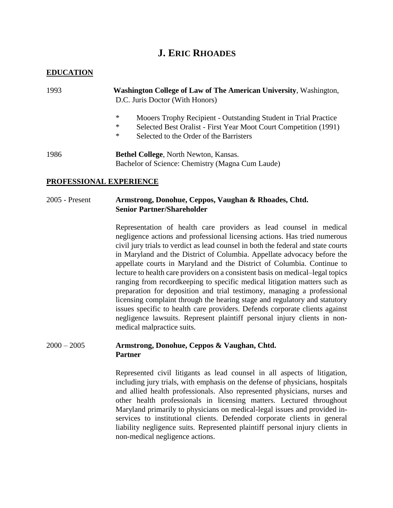# **J. ERIC RHOADES**

## **EDUCATION**

| 1993 | <b>Washington College of Law of The American University, Washington,</b><br>D.C. Juris Doctor (With Honors)                                   |
|------|-----------------------------------------------------------------------------------------------------------------------------------------------|
|      | ∗<br>Mooers Trophy Recipient - Outstanding Student in Trial Practice<br>∗<br>Selected Best Oralist - First Year Moot Court Competition (1991) |
|      | ∗<br>Selected to the Order of the Barristers                                                                                                  |
| 1986 | <b>Bethel College, North Newton, Kansas.</b>                                                                                                  |

Bachelor of Science: Chemistry (Magna Cum Laude)

### **PROFESSIONAL EXPERIENCE**

## 2005 - Present **Armstrong, Donohue, Ceppos, Vaughan & Rhoades, Chtd. Senior Partner/Shareholder**

Representation of health care providers as lead counsel in medical negligence actions and professional licensing actions. Has tried numerous civil jury trials to verdict as lead counsel in both the federal and state courts in Maryland and the District of Columbia. Appellate advocacy before the appellate courts in Maryland and the District of Columbia. Continue to lecture to health care providers on a consistent basis on medical–legal topics ranging from recordkeeping to specific medical litigation matters such as preparation for deposition and trial testimony, managing a professional licensing complaint through the hearing stage and regulatory and statutory issues specific to health care providers. Defends corporate clients against negligence lawsuits. Represent plaintiff personal injury clients in nonmedical malpractice suits.

## 2000 – 2005 **Armstrong, Donohue, Ceppos & Vaughan, Chtd. Partner**

Represented civil litigants as lead counsel in all aspects of litigation, including jury trials, with emphasis on the defense of physicians, hospitals and allied health professionals. Also represented physicians, nurses and other health professionals in licensing matters. Lectured throughout Maryland primarily to physicians on medical-legal issues and provided inservices to institutional clients. Defended corporate clients in general liability negligence suits. Represented plaintiff personal injury clients in non-medical negligence actions.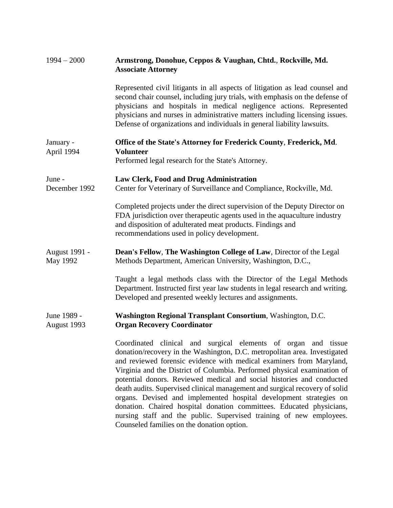| $1994 - 2000$              | Armstrong, Donohue, Ceppos & Vaughan, Chtd., Rockville, Md.<br><b>Associate Attorney</b>                                                                                                                                                                                                                                                                                                                                                                                                                                                                                                                                                                                                                                   |
|----------------------------|----------------------------------------------------------------------------------------------------------------------------------------------------------------------------------------------------------------------------------------------------------------------------------------------------------------------------------------------------------------------------------------------------------------------------------------------------------------------------------------------------------------------------------------------------------------------------------------------------------------------------------------------------------------------------------------------------------------------------|
|                            | Represented civil litigants in all aspects of litigation as lead counsel and<br>second chair counsel, including jury trials, with emphasis on the defense of<br>physicians and hospitals in medical negligence actions. Represented<br>physicians and nurses in administrative matters including licensing issues.<br>Defense of organizations and individuals in general liability lawsuits.                                                                                                                                                                                                                                                                                                                              |
| January -<br>April 1994    | Office of the State's Attorney for Frederick County, Frederick, Md.<br><b>Volunteer</b><br>Performed legal research for the State's Attorney.                                                                                                                                                                                                                                                                                                                                                                                                                                                                                                                                                                              |
| June -<br>December 1992    | <b>Law Clerk, Food and Drug Administration</b><br>Center for Veterinary of Surveillance and Compliance, Rockville, Md.                                                                                                                                                                                                                                                                                                                                                                                                                                                                                                                                                                                                     |
|                            | Completed projects under the direct supervision of the Deputy Director on<br>FDA jurisdiction over therapeutic agents used in the aquaculture industry<br>and disposition of adulterated meat products. Findings and<br>recommendations used in policy development.                                                                                                                                                                                                                                                                                                                                                                                                                                                        |
| August 1991 -<br>May 1992  | Dean's Fellow, The Washington College of Law, Director of the Legal<br>Methods Department, American University, Washington, D.C.,                                                                                                                                                                                                                                                                                                                                                                                                                                                                                                                                                                                          |
|                            | Taught a legal methods class with the Director of the Legal Methods<br>Department. Instructed first year law students in legal research and writing.<br>Developed and presented weekly lectures and assignments.                                                                                                                                                                                                                                                                                                                                                                                                                                                                                                           |
| June 1989 -<br>August 1993 | Washington Regional Transplant Consortium, Washington, D.C.<br><b>Organ Recovery Coordinator</b>                                                                                                                                                                                                                                                                                                                                                                                                                                                                                                                                                                                                                           |
|                            | Coordinated clinical and surgical elements of organ and tissue<br>donation/recovery in the Washington, D.C. metropolitan area. Investigated<br>and reviewed forensic evidence with medical examiners from Maryland,<br>Virginia and the District of Columbia. Performed physical examination of<br>potential donors. Reviewed medical and social histories and conducted<br>death audits. Supervised clinical management and surgical recovery of solid<br>organs. Devised and implemented hospital development strategies on<br>donation. Chaired hospital donation committees. Educated physicians,<br>nursing staff and the public. Supervised training of new employees.<br>Counseled families on the donation option. |